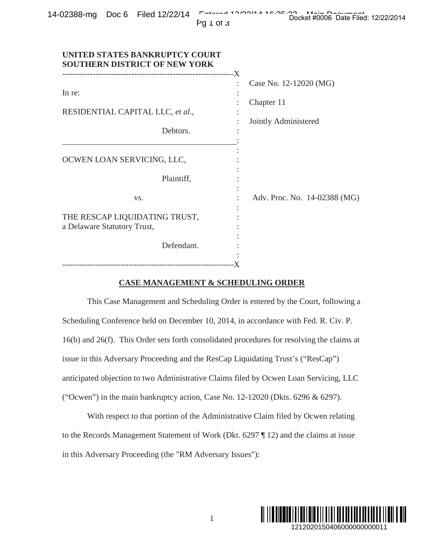|  | 14-02388-mg Doc 6 Filed 12/22/14 | Entered 10/00/11 10:05:00 Main Decument | Docket #0006 Date Filed: 12/22/2014 |  |
|--|----------------------------------|-----------------------------------------|-------------------------------------|--|
|  |                                  | PQ1Q1                                   |                                     |  |

|--|--|--|--|--|

| In re:<br>RESIDENTIAL CAPITAL LLC, et al.,<br>Debtors.                                     | Case No. 12-12020 (MG)<br>Chapter 11<br>Jointly Administered                   |  |  |
|--------------------------------------------------------------------------------------------|--------------------------------------------------------------------------------|--|--|
| OCWEN LOAN SERVICING, LLC,<br>Plaintiff,                                                   |                                                                                |  |  |
| VS.<br>THE RESCAP LIQUIDATING TRUST,<br>a Delaware Statutory Trust,                        | Adv. Proc. No. 14-02388 (MG)                                                   |  |  |
| Defendant.<br><b>CASE MANAGEMENT &amp; SCHEDULING ORDER</b>                                |                                                                                |  |  |
|                                                                                            | This Case Management and Scheduling Order is entered by the Court, following a |  |  |
| Scheduling Conference held on December 10, 2014, in accordance with Fed. R. Civ. P.        |                                                                                |  |  |
| 16(b) and 26(f). This Order sets forth consolidated procedures for resolving the claims at |                                                                                |  |  |
| issue in this Adversary Proceeding and the ResCap Liquidating Trust's ("ResCap")           |                                                                                |  |  |
| anticipated objection to two Administrative Claims filed by Ocwen Loan Servicing, LLC      |                                                                                |  |  |
| ("Ocwen") in the main bankruptcy action, Case No. $12-12020$ (Dkts. $6296 \& 6297$ ).      |                                                                                |  |  |
| With respect to that portion of the Administrative Claim filed by Ocwen relating           |                                                                                |  |  |
| to the Records Management Statement of Work (Dkt. 6297 ¶ 12) and the claims at issue       |                                                                                |  |  |
| in this Adversary Proceeding (the "RM Adversary Issues"):                                  |                                                                                |  |  |

## **CASE MANAGEMENT & SCHEDULING ORDER**

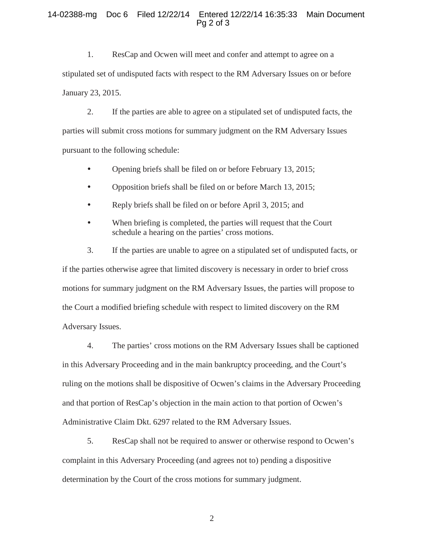## 14-02388-mg Doc 6 Filed 12/22/14 Entered 12/22/14 16:35:33 Main Document Pg 2 of 3

1. ResCap and Ocwen will meet and confer and attempt to agree on a stipulated set of undisputed facts with respect to the RM Adversary Issues on or before January 23, 2015.

2. If the parties are able to agree on a stipulated set of undisputed facts, the parties will submit cross motions for summary judgment on the RM Adversary Issues pursuant to the following schedule:

- Opening briefs shall be filed on or before February 13, 2015;
- Opposition briefs shall be filed on or before March 13, 2015;
- Reply briefs shall be filed on or before April 3, 2015; and
- When briefing is completed, the parties will request that the Court schedule a hearing on the parties' cross motions.

3. If the parties are unable to agree on a stipulated set of undisputed facts, or if the parties otherwise agree that limited discovery is necessary in order to brief cross motions for summary judgment on the RM Adversary Issues, the parties will propose to the Court a modified briefing schedule with respect to limited discovery on the RM Adversary Issues.

4. The parties' cross motions on the RM Adversary Issues shall be captioned in this Adversary Proceeding and in the main bankruptcy proceeding, and the Court's ruling on the motions shall be dispositive of Ocwen's claims in the Adversary Proceeding and that portion of ResCap's objection in the main action to that portion of Ocwen's Administrative Claim Dkt. 6297 related to the RM Adversary Issues.

5. ResCap shall not be required to answer or otherwise respond to Ocwen's complaint in this Adversary Proceeding (and agrees not to) pending a dispositive determination by the Court of the cross motions for summary judgment.

2